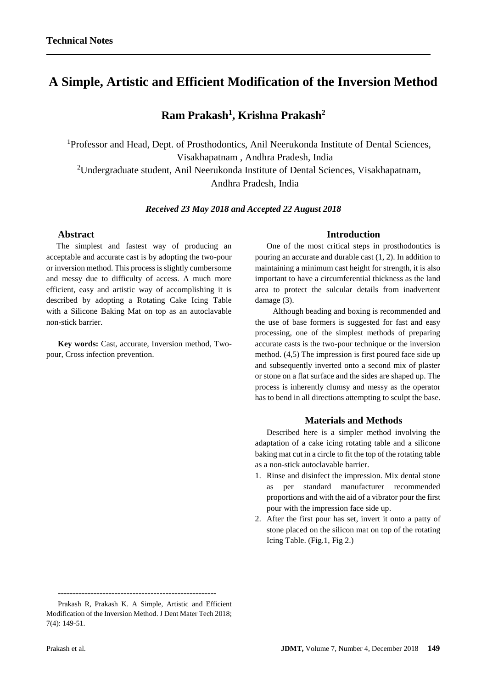# **A Simple, Artistic and Efficient Modification of the Inversion Method**

## **Ram Prakash<sup>1</sup> , Krishna Prakash<sup>2</sup>**

<sup>1</sup>Professor and Head, Dept. of Prosthodontics, Anil Neerukonda Institute of Dental Sciences, Visakhapatnam , Andhra Pradesh, India <sup>2</sup>Undergraduate student, Anil Neerukonda Institute of Dental Sciences, Visakhapatnam,

Andhra Pradesh, India

#### *Received 23 May 2018 and Accepted 22 August 2018*

## **Abstract**

 The simplest and fastest way of producing an acceptable and accurate cast is by adopting the two-pour or inversion method. This process is slightly cumbersome and messy due to difficulty of access. A much more efficient, easy and artistic way of accomplishing it is described by adopting a Rotating Cake Icing Table with a Silicone Baking Mat on top as an autoclavable non-stick barrier.

**Key words:** Cast, accurate, Inversion method, Twopour, Cross infection prevention.

#### **Introduction**

One of the most critical steps in prosthodontics is pouring an accurate and durable cast (1, 2). In addition to maintaining a minimum cast height for strength, it is also important to have a circumferential thickness as the land area to protect the sulcular details from inadvertent damage (3).

 Although beading and boxing is recommended and the use of base formers is suggested for fast and easy processing, one of the simplest methods of preparing accurate casts is the two-pour technique or the inversion method. (4,5) The impression is first poured face side up and subsequently inverted onto a second mix of plaster or stone on a flat surface and the sides are shaped up. The process is inherently clumsy and messy as the operator has to bend in all directions attempting to sculpt the base.

### **Materials and Methods**

Described here is a simpler method involving the adaptation of a cake icing rotating table and a silicone baking mat cut in a circle to fit the top of the rotating table as a non-stick autoclavable barrier.

- 1. Rinse and disinfect the impression. Mix dental stone as per standard manufacturer recommended proportions and with the aid of a vibrator pour the first pour with the impression face side up.
- 2. After the first pour has set, invert it onto a patty of stone placed on the silicon mat on top of the rotating Icing Table. (Fig.1, Fig 2.)

-----------------------------------------------------

Prakash R, Prakash K. A Simple, Artistic and Efficient Modification of the Inversion Method. J Dent Mater Tech 2018; 7(4): 149-51.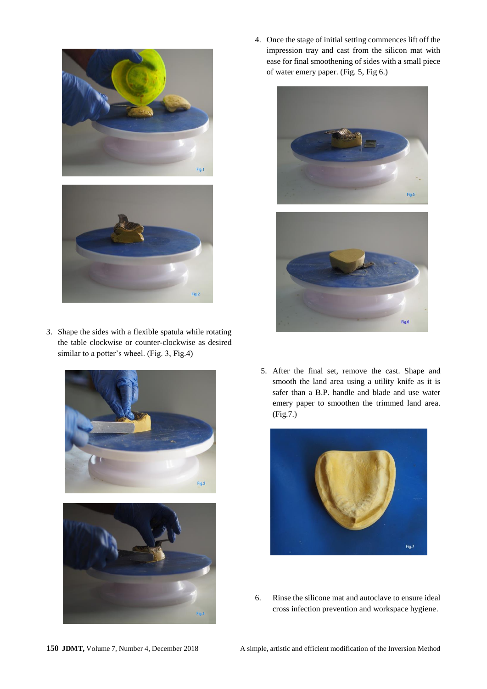



3. Shape the sides with a flexible spatula while rotating the table clockwise or counter-clockwise as desired similar to a potter's wheel. (Fig. 3, Fig.4)



4. Once the stage of initial setting commences lift off the impression tray and cast from the silicon mat with ease for final smoothening of sides with a small piece of water emery paper. (Fig. 5, Fig 6.)





5. After the final set, remove the cast. Shape and smooth the land area using a utility knife as it is safer than a B.P. handle and blade and use water emery paper to smoothen the trimmed land area. (Fig.7.)



6. Rinse the silicone mat and autoclave to ensure ideal cross infection prevention and workspace hygiene.